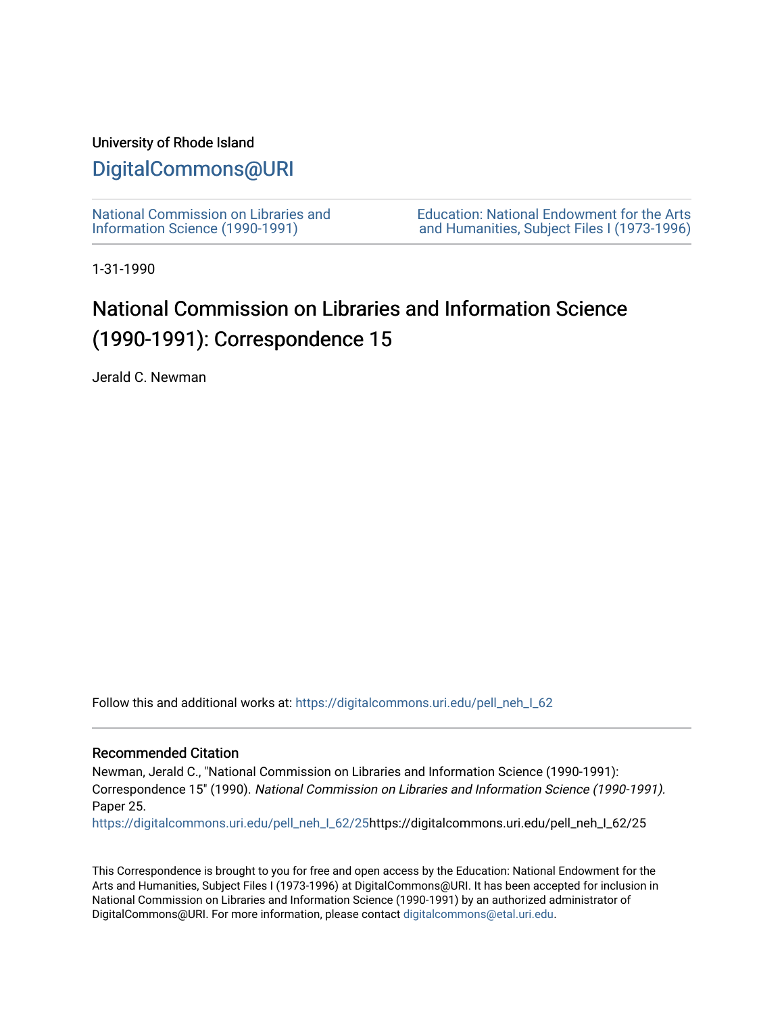### University of Rhode Island

## [DigitalCommons@URI](https://digitalcommons.uri.edu/)

[National Commission on Libraries and](https://digitalcommons.uri.edu/pell_neh_I_62) [Information Science \(1990-1991\)](https://digitalcommons.uri.edu/pell_neh_I_62) 

[Education: National Endowment for the Arts](https://digitalcommons.uri.edu/pell_neh_I)  [and Humanities, Subject Files I \(1973-1996\)](https://digitalcommons.uri.edu/pell_neh_I) 

1-31-1990

# National Commission on Libraries and Information Science (1990-1991): Correspondence 15

Jerald C. Newman

Follow this and additional works at: [https://digitalcommons.uri.edu/pell\\_neh\\_I\\_62](https://digitalcommons.uri.edu/pell_neh_I_62?utm_source=digitalcommons.uri.edu%2Fpell_neh_I_62%2F25&utm_medium=PDF&utm_campaign=PDFCoverPages) 

### Recommended Citation

Newman, Jerald C., "National Commission on Libraries and Information Science (1990-1991): Correspondence 15" (1990). National Commission on Libraries and Information Science (1990-1991). Paper 25.

[https://digitalcommons.uri.edu/pell\\_neh\\_I\\_62/25h](https://digitalcommons.uri.edu/pell_neh_I_62/25?utm_source=digitalcommons.uri.edu%2Fpell_neh_I_62%2F25&utm_medium=PDF&utm_campaign=PDFCoverPages)ttps://digitalcommons.uri.edu/pell\_neh\_I\_62/25

This Correspondence is brought to you for free and open access by the Education: National Endowment for the Arts and Humanities, Subject Files I (1973-1996) at DigitalCommons@URI. It has been accepted for inclusion in National Commission on Libraries and Information Science (1990-1991) by an authorized administrator of DigitalCommons@URI. For more information, please contact [digitalcommons@etal.uri.edu.](mailto:digitalcommons@etal.uri.edu)